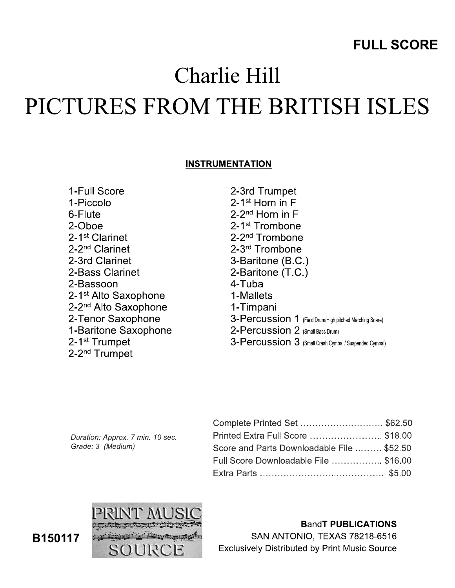## **FULL SCORE**

 $000E$ 

# **Charlie Hill** PICTURES FROM THE BRITISH ISLES

#### **INSTRUMENTATION**

1-Full Score 1-Piccolo 6-Flute 2-Oboe 2-1<sup>st</sup> Clarinet 2-2<sup>nd</sup> Clarinet 2-3rd Clarinet 2-Bass Clarinet 2-Bassoon 2-1<sup>st</sup> Alto Saxophone 2-2<sup>nd</sup> Alto Saxophone 2-Tenor Saxophone 1-Baritone Saxophone 2-1<sup>st</sup> Trumpet 2-2<sup>nd</sup> Trumpet

2-3rd Trumpet  $2-1$ <sup>st</sup> Horn in F 2-2<sup>nd</sup> Horn in F 2-1<sup>st</sup> Trombone 2-2<sup>nd</sup> Trombone 2-3<sup>rd</sup> Trombone 3-Baritone (B.C.) 2-Baritone (T.C.) 4-Tuba 1-Mallets 1-Timpani 3-Percussion 1 (Field Drum/High pitched Marching Snare) 2-Percussion 2 (Small Bass Drum) 3-Percussion 3 (Small Crash Cymbal / Suspended Cymbal)

| Duration: Approx. 7 min. 10 sec.<br>Grade: 3 (Medium) | Complete Printed Set  \$62.50              |  |
|-------------------------------------------------------|--------------------------------------------|--|
|                                                       | Printed Extra Full Score \$18.00           |  |
|                                                       | Score and Parts Downloadable File  \$52.50 |  |
|                                                       | Full Score Downloadable File \$16.00       |  |
|                                                       | Eytra Parte                                |  |



B150117

#### **BandT PUBLICATIONS SAN ANTONIO, TEXAS 78218-6516**

**Exclusively Distributed by Print Music Source**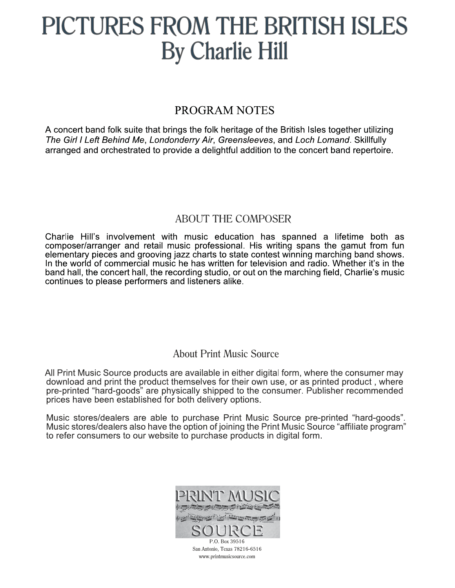## PICTURES FROM THE BRITISH ISLES **By Charlie Hill**

### **PROGRAM NOTES**

A concert band folk suite that brings the folk heritage of the British Isles together utilizing The Girl I Left Behind Me, Londonderry Air, Greensleeves, and Loch Lomand, Skillfully arranged and orchestrated to provide a delightful addition to the concert band repertoire.

### **ABOUT THE COMPOSER**

Charlie Hill's involvement with music education has spanned a lifetime both as composer/arranger and retail music professional. His writing spans the gamut from fun elementary pieces and grooving jazz charts to state contest winning marching band shows. In the world of commercial music he has written for television and radio. Whether it's in the band hall, the concert hall, the recording studio, or out on the marching field, Charlie's music continues to please performers and listeners alike.

### **About Print Music Source**

All Print Music Source products are available in either digital form, where the consumer may download and print the product themselves for their own use, or as printed product, where pre-printed "hard-goods" are physically shipped to the consumer. Publisher recommended prices have been established for both delivery options.

Music stores/dealers are able to purchase Print Music Source pre-printed "hard-goods". Music stores/dealers also have the option of joining the Print Music Source "affiliate program" to refer consumers to our website to purchase products in digital form.

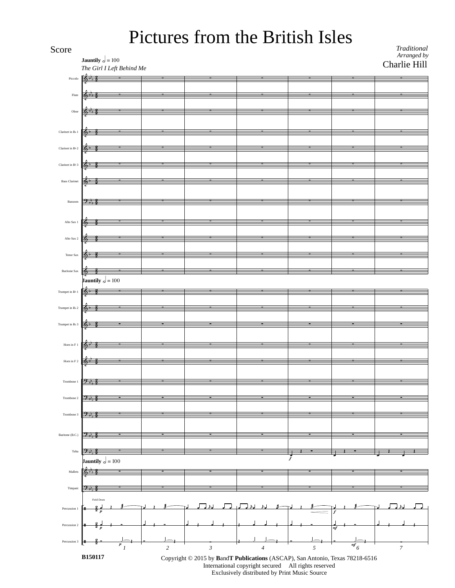#### &  $\AA$ & & & & &  $\mathbf{y}_{\mathbf{b},\mathbf{b}}$ & & & & 2 2  $\overline{\mathbb{e}}$ & & & &  $2+3$  $2, 3$ ? ?  $2+3$  $\textcolor{black}{\diamond}$  by  $\textcolor{black}{\mathbf{3}}$  $2, \frac{1}{2}$ H H H b b b b b b b b b b b b b b b b b b b b b b b  $\overline{2}$ .<br>2 2 2 2 2 2 2  $\ddot{2}$ .<br>2 2 .<br>2  $\frac{2}{2}$ 2 2 2  $\frac{2}{2}$ 2 2 2  $\frac{2}{2}$ 2 2 2 2 2  $\frac{1}{2}$ 2  $\ddot{2}$ .<br>2 2 2  $\overline{2}$ .<br>2 2 2  $\frac{2}{2}$ 2  $\frac{2}{2}$ 2  $\frac{2}{2}$ 2 Piccolo Flute Oboe Clarinet in B $\rightarrow$  1 Clarinet in  $\mathbb{B}\flat$  2 Clarinet in B $\frac{1}{2}$ 3 Bass Clarinet Bassoon Alto Sax 1 Alto Sax 2 Tenor Sax Baritone Sax Trumpet in  $B$   $\rightarrow$  1 Trumpet in B $\frac{1}{2}$ Trumpet in B<sup>b</sup> 3 Horn in F 1 Horn in F 2 Trombone 1 Trombone 2 Trombone 3 Baritone (B.C.) Tuba Mallets Timpani Percussion 1 Percussion 2 Percussion 3 ∑ ∑ ∑ ∑ ∑ ∑ ∑ ∑ ∑ ∑ ∑ ∑ ∑ ∑ ∑ ∑ ∑ ∑ ∑ ∑ ∑ ∑ ∑ ∑ J + 3 œ Œ *1*  $\cdot$   $\qquad$   $\qquad$   $\qquad$   $\qquad$   $\qquad$   $\qquad$   $\qquad$   $\qquad$   $\qquad$   $\qquad$   $\qquad$   $\qquad$   $\qquad$   $\qquad$   $\qquad$   $\qquad$   $\qquad$   $\qquad$   $\qquad$   $\qquad$   $\qquad$   $\qquad$   $\qquad$   $\qquad$   $\qquad$   $\qquad$   $\qquad$   $\qquad$   $\qquad$   $\qquad$   $\qquad$   $\qquad$   $\qquad$   $\qquad$   $\qquad$   $\qquad$  **Jauntily**  $\frac{1}{2} = 100$ **Jauntily**  $\phi = 100$ **Jauntily**  $\frac{1}{2} = 100$ p p Field Drum ∑ ∑ ∑ ∑ ∑ ∑ ∑ ∑ ∑ ∑ ∑ ∑ ∑ ∑ ∑ ∑ ∑ ∑ ∑ ∑ ∑ ∑ ∑ ∑ œ Œ ˙ ┙**─** *2* x Œ ∑ ∑ ∑ ∑ ∑ ∑ ∑ ∑ ∑ ∑ ∑ ∑ ∑ ∑ ∑ ∑ ∑ ∑ ∑ ∑ ∑ ∑ ∑ ∑ <u>t J J</u>  $\Box$ <del>。 </del> *3* ∑ ∑ ∑ ∑ ∑ ∑ ∑ ∑ ∑ ∑ ∑ ∑ ∑ ∑ ∑ ∑ ∑ ∑ ∑ ∑ ∑ ∑ ∑ ∑ ∑ <u>e la la</u> ⊵ L⊀ @  $\begin{array}{ccc} & \begin{array}{ccc} & \end{array} & \begin{array}{ccc} & \end{array} & \end{array}$ *4*  $\begin{array}{ccc} & & \downarrow & \downarrow \rightarrow \end{array}$ ∑ ∑ ∑ ∑ ∑ ∑ ∑ ∑ ∑ ∑ ∑ ∑ ∑ ∑ ∑ ∑ ∑ ∑ ∑ ∑ ∑  $\frac{1}{2}$   $\frac{1}{2}$   $\frac{1}{2}$ ∑ ∑ œ Œ ˙ **└────────** *5*  $\longleftarrow$   $\longleftarrow$   $\longleftarrow$   $\longleftarrow$   $\longleftarrow$   $\longleftarrow$   $\longleftarrow$   $\longleftarrow$   $\longleftarrow$   $\longleftarrow$   $\longleftarrow$   $\longleftarrow$   $\longleftarrow$   $\longleftarrow$   $\longleftarrow$   $\longleftarrow$   $\longleftarrow$   $\longleftarrow$   $\longleftarrow$   $\longleftarrow$   $\longleftarrow$   $\longleftarrow$   $\longleftarrow$   $\longleftarrow$   $\longleftarrow$   $\longleftarrow$   $\longleftarrow$   $\longleftarrow$   $\longleftarrow$   $\longleftarrow$   $\longleftarrow$   $\longleft$ f ∑ ∑ ∑ ∑ ∑ ∑ ∑ ∑ ∑ ∑ ∑ ∑ ∑ ∑ ∑ ∑ ∑ ∑ ∑ ∑ ∑  $\overline{a}$ ∑ ∑ œ Œ ˙ ┙<del>╴╷</del> *6* F x Œ f mf ∑ ∑ ∑ ∑ ∑ ∑ ∑ ∑ ∑ ∑ ∑ ∑ ∑ ∑ ∑ ∑ ∑ ∑ ∑ ∑ ∑  $\begin{array}{ccc} & \rightarrow & \rightarrow & \rightarrow \end{array}$ ∑ ∑ <u>↓ 、 </u> <u>↓</u> <mark>ی لی ل</mark>ی <del>。, ,</del> *7* ∑ Score *Traditional Arranged by The Girl I Left Behind Me* Charlie Hill **Charlie Hill** Copyright © 2015 by **B**and**T Publications** (ASCAP), San Antonio, Texas 78218-6516 **B150117**

Pictures from the British Isles

International copyright secured All rights reserved Exclusively distributed by Print Music Source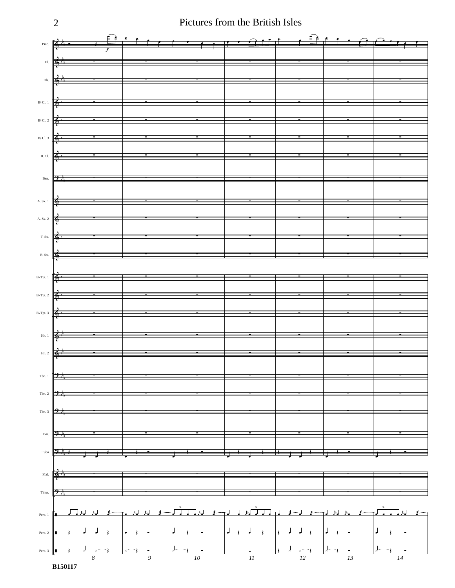

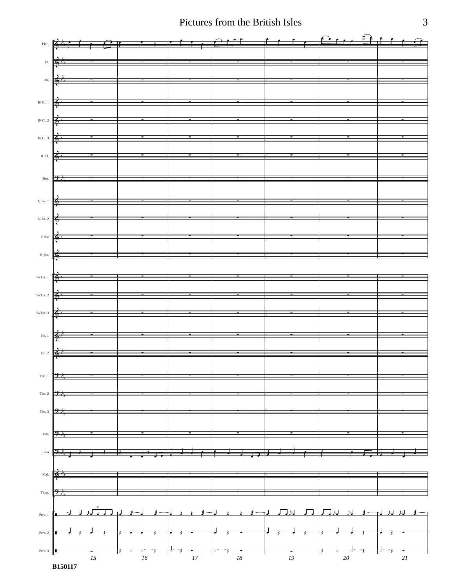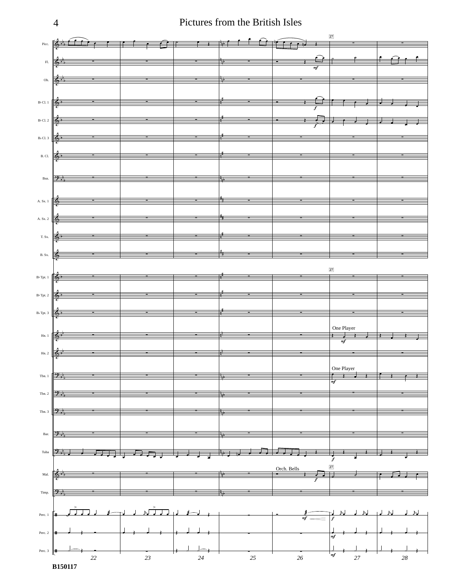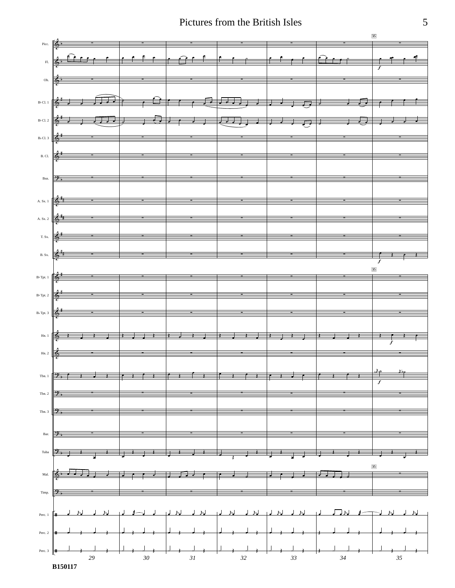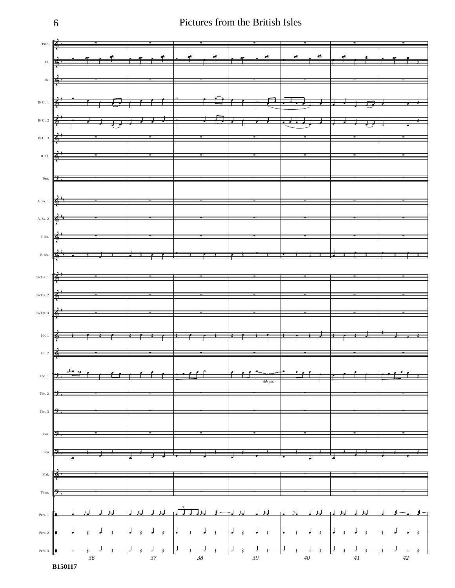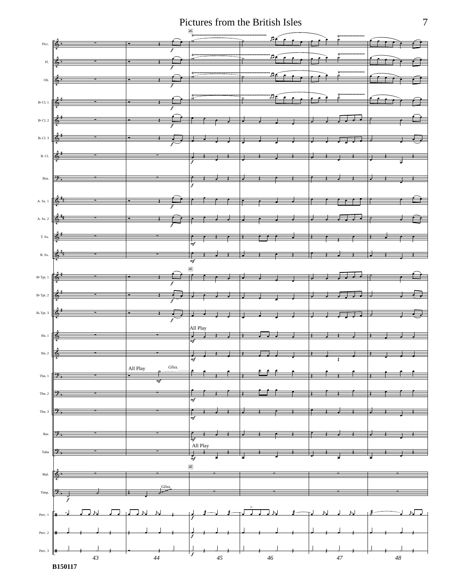Pictures from the British Isles 7

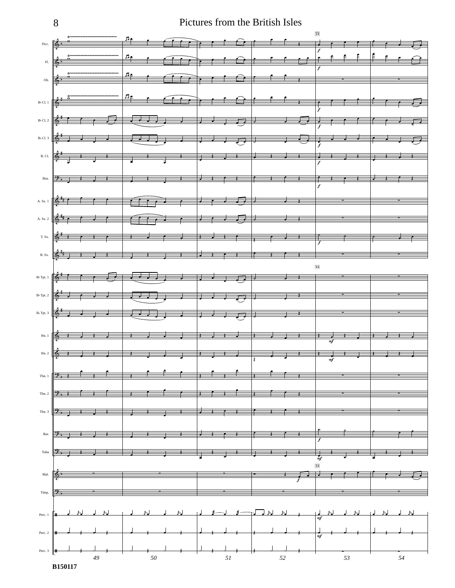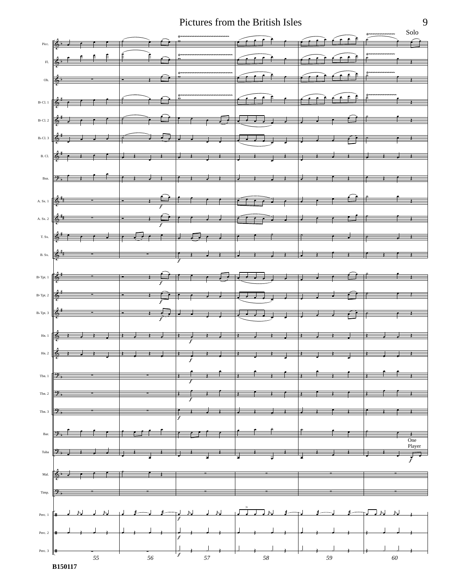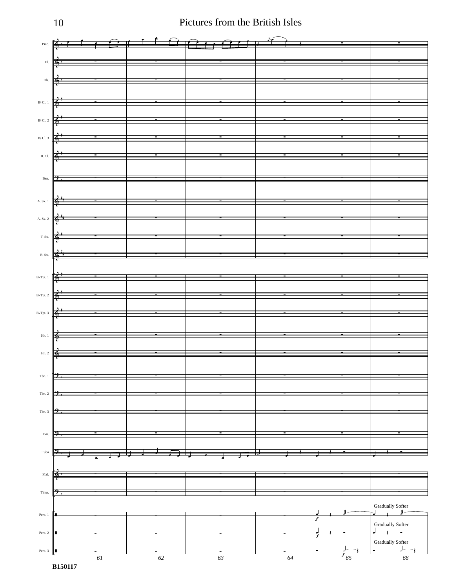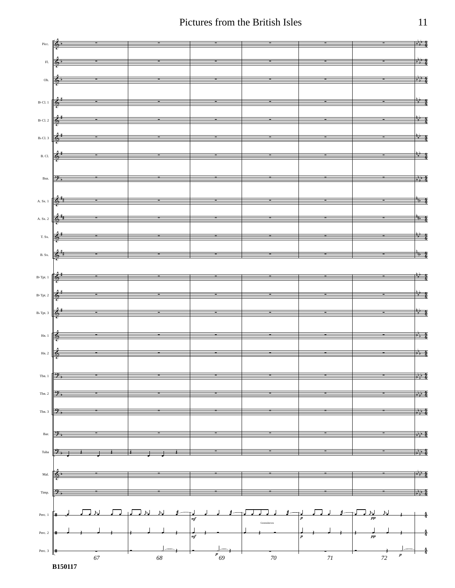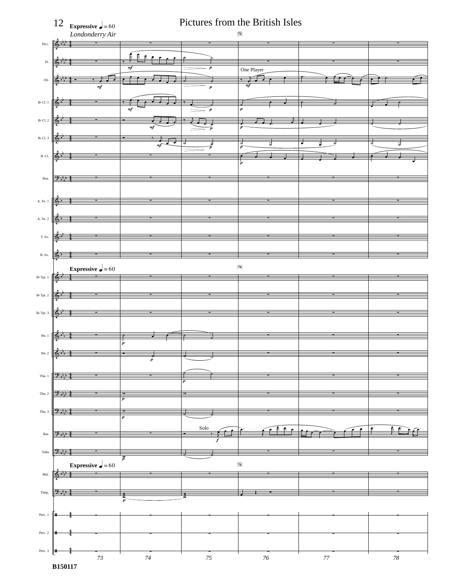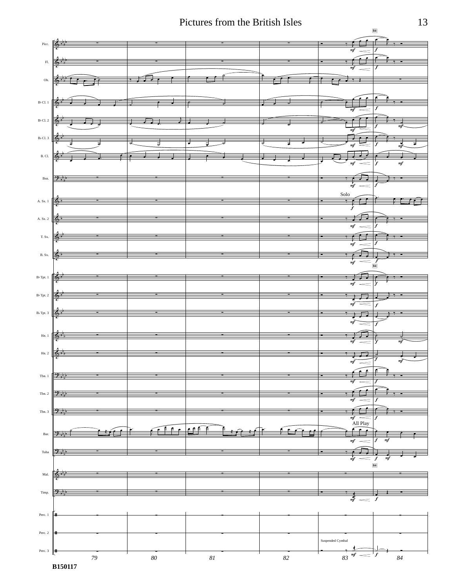Pictures from the British Isles 13

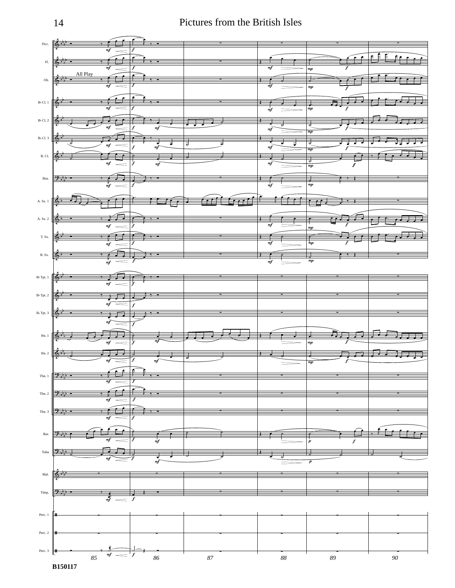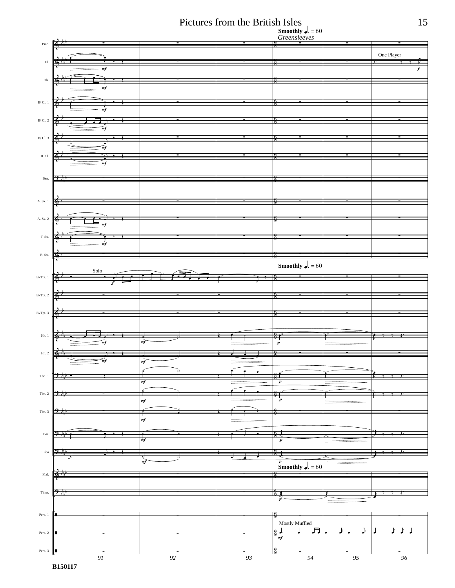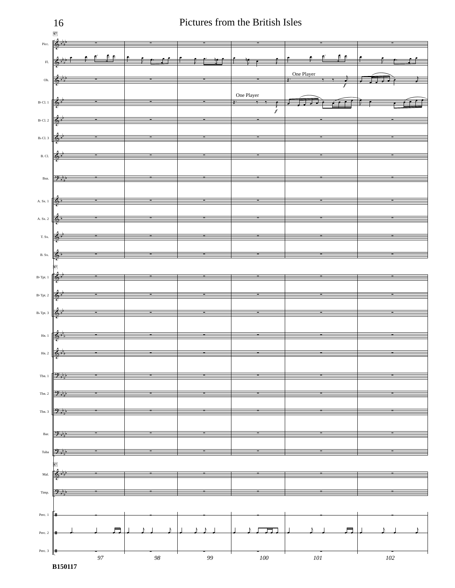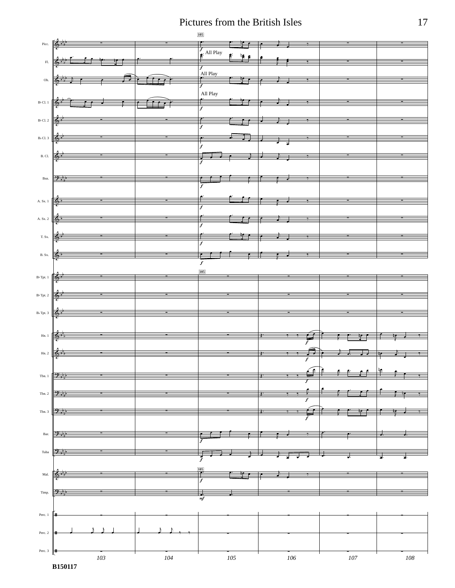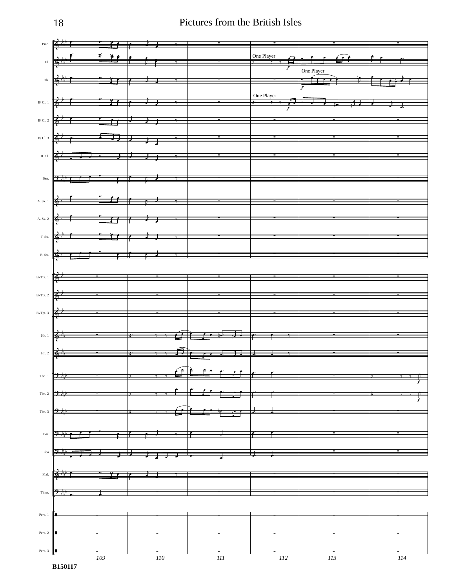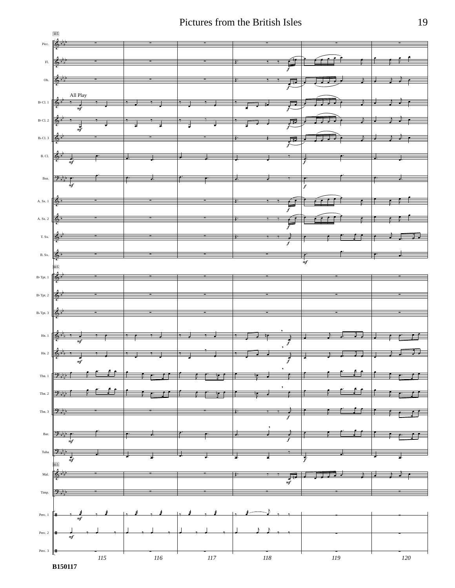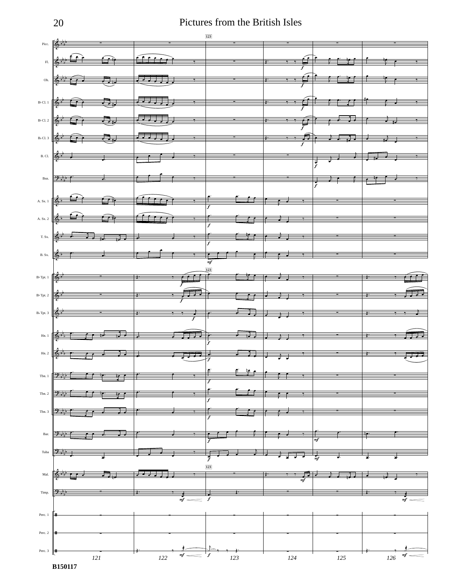![](_page_21_Figure_1.jpeg)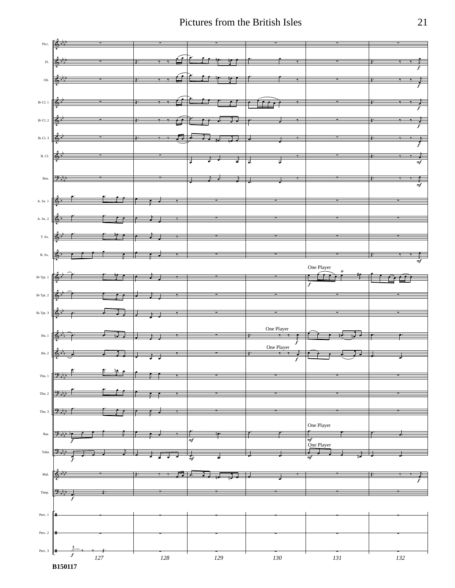![](_page_22_Figure_1.jpeg)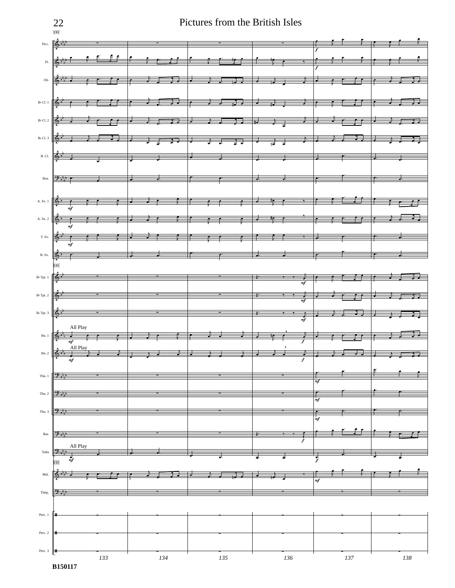![](_page_23_Figure_0.jpeg)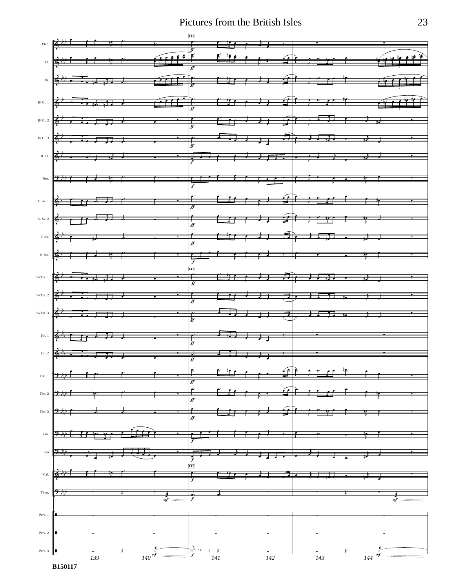![](_page_24_Figure_1.jpeg)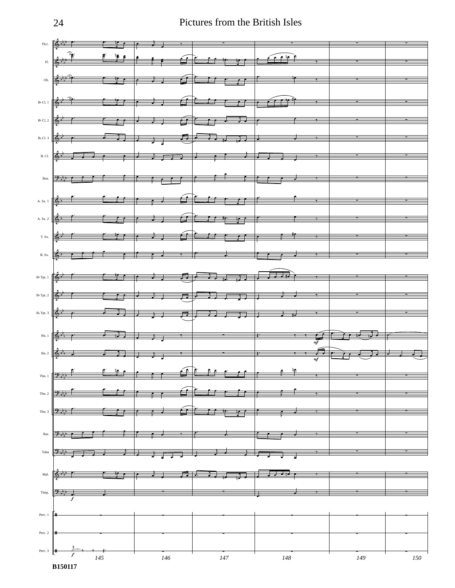![](_page_25_Figure_1.jpeg)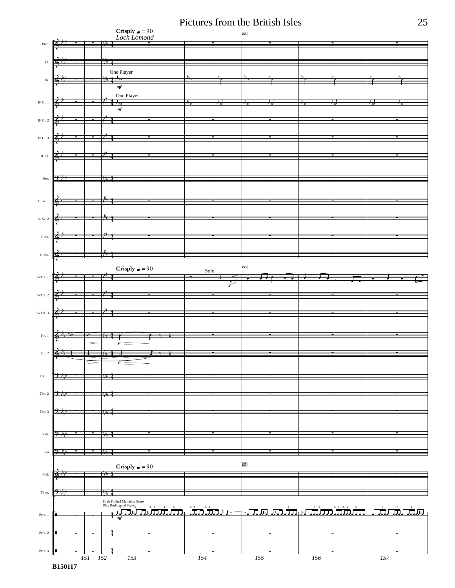![](_page_26_Figure_0.jpeg)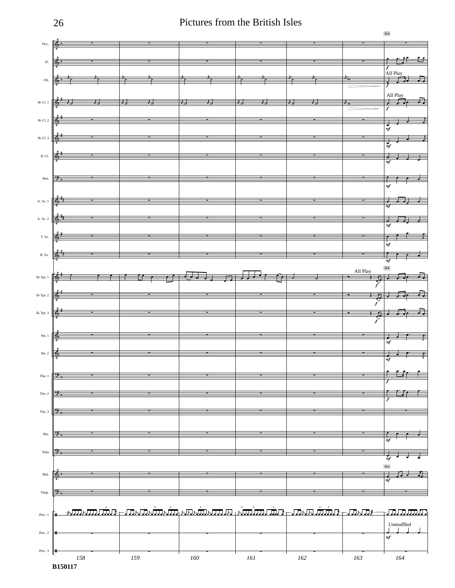26 Pictures from the British Isles

![](_page_27_Figure_1.jpeg)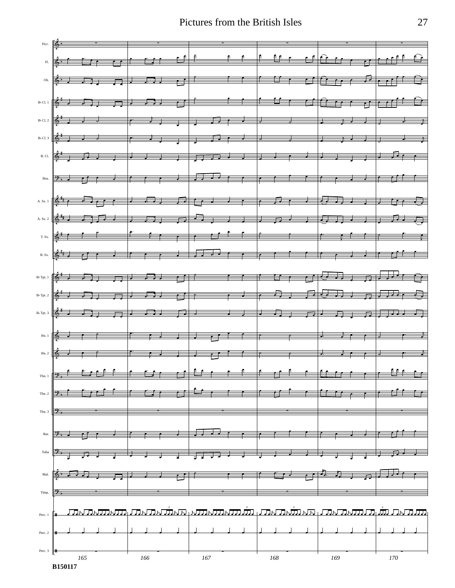![](_page_28_Figure_1.jpeg)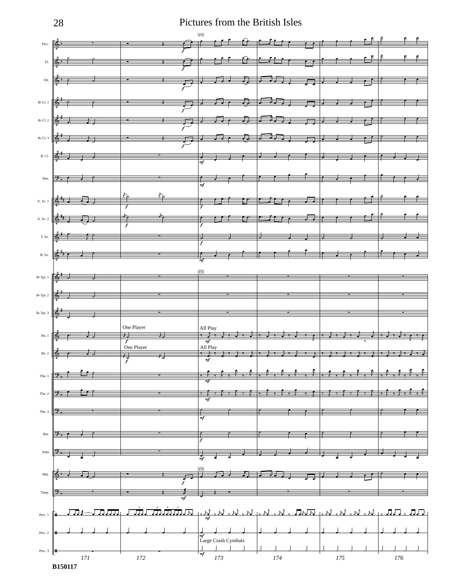![](_page_29_Figure_1.jpeg)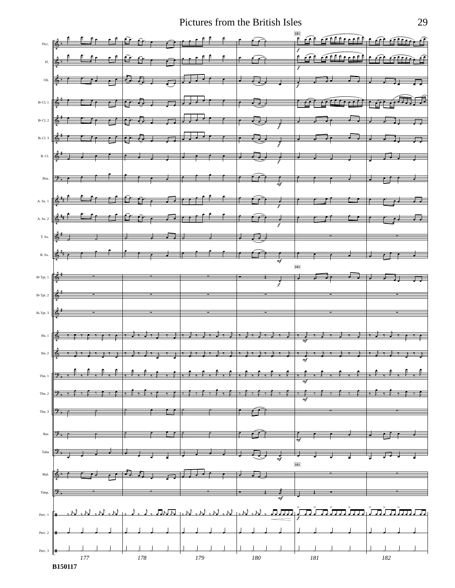Pictures from the British Isles 29

![](_page_30_Figure_1.jpeg)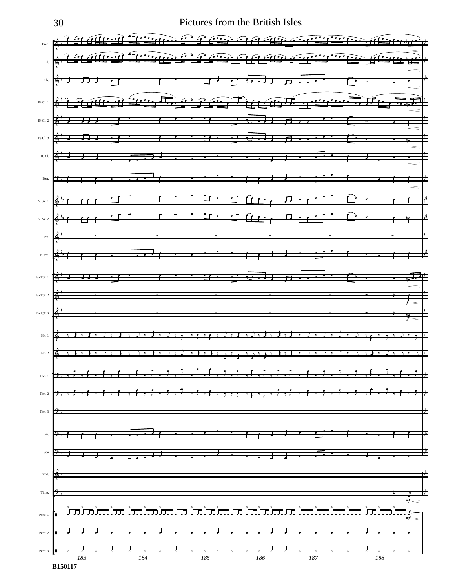![](_page_31_Figure_1.jpeg)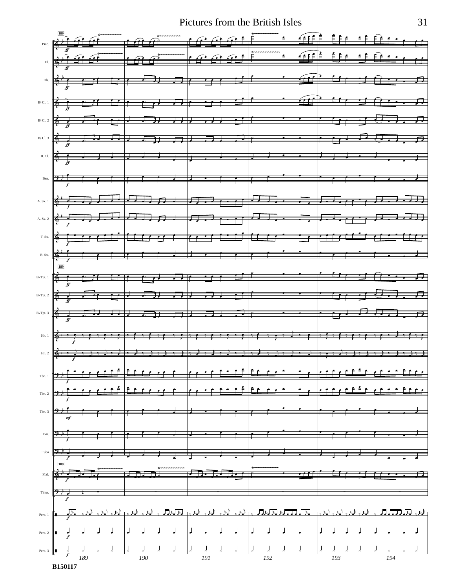Pictures from the British Isles 31

![](_page_32_Figure_1.jpeg)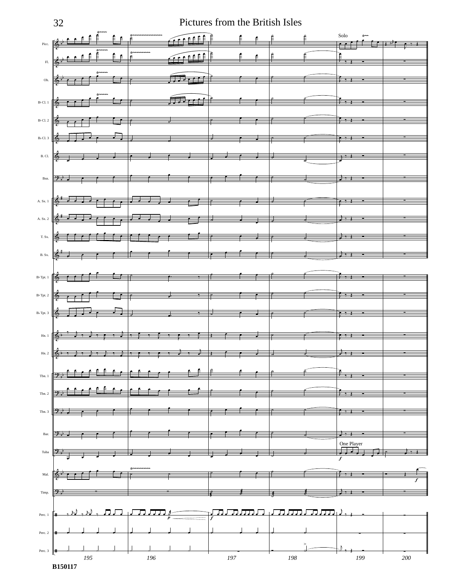![](_page_33_Figure_0.jpeg)